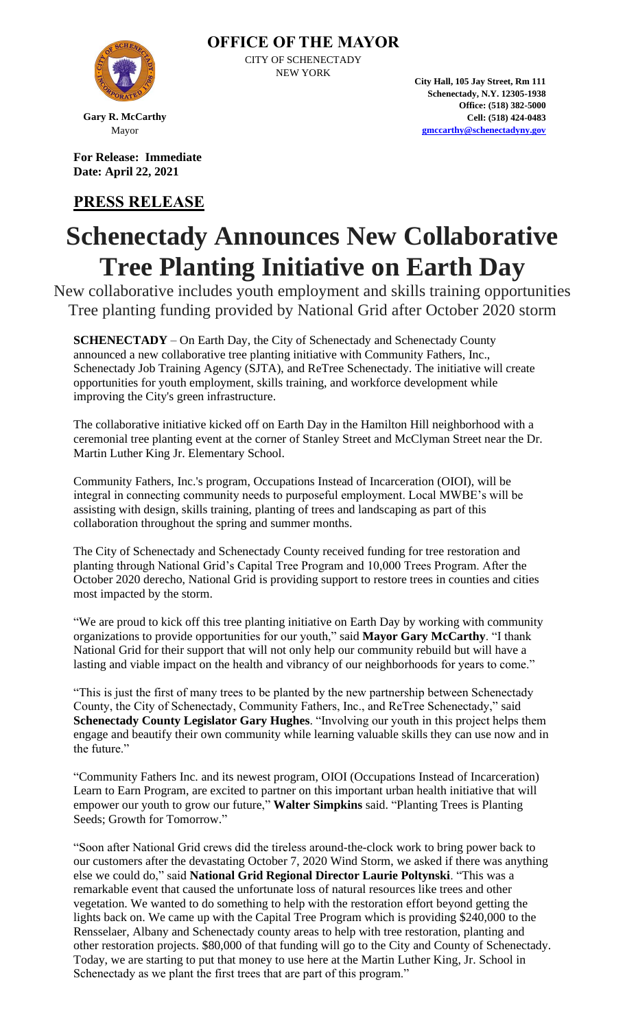

**Gary R. McCarthy** Mayor

**For Release: Immediate Date: April 22, 2021**

## **PRESS RELEASE**

**City Hall, 105 Jay Street, Rm 111 Schenectady, N.Y. 12305-1938 Office: (518) 382-5000 Cell: (518) 424-0483 [gmccarthy@schenectadyny.gov](mailto:gmccarthy@schenectadyny.gov)**

## **Schenectady Announces New Collaborative Tree Planting Initiative on Earth Day**

**OFFICE OF THE MAYOR** CITY OF SCHENECTADY NEW YORK

New collaborative includes youth employment and skills training opportunities Tree planting funding provided by National Grid after October 2020 storm

**SCHENECTADY** – On Earth Day, the City of Schenectady and Schenectady County announced a new collaborative tree planting initiative with Community Fathers, Inc., Schenectady Job Training Agency (SJTA), and ReTree Schenectady. The initiative will create opportunities for youth employment, skills training, and workforce development while improving the City's green infrastructure.

The collaborative initiative kicked off on Earth Day in the Hamilton Hill neighborhood with a ceremonial tree planting event at the corner of Stanley Street and McClyman Street near the Dr. Martin Luther King Jr. Elementary School.

Community Fathers, Inc.'s program, Occupations Instead of Incarceration (OIOI), will be integral in connecting community needs to purposeful employment. Local MWBE's will be assisting with design, skills training, planting of trees and landscaping as part of this collaboration throughout the spring and summer months.

The City of Schenectady and Schenectady County received funding for tree restoration and planting through National Grid's Capital Tree Program and 10,000 Trees Program. After the October 2020 derecho, National Grid is providing support to restore trees in counties and cities most impacted by the storm.

"We are proud to kick off this tree planting initiative on Earth Day by working with community organizations to provide opportunities for our youth," said **Mayor Gary McCarthy**. "I thank National Grid for their support that will not only help our community rebuild but will have a lasting and viable impact on the health and vibrancy of our neighborhoods for years to come."

"This is just the first of many trees to be planted by the new partnership between Schenectady County, the City of Schenectady, Community Fathers, Inc., and ReTree Schenectady," said **Schenectady County Legislator Gary Hughes**. "Involving our youth in this project helps them engage and beautify their own community while learning valuable skills they can use now and in the future."

"Community Fathers Inc. and its newest program, OIOI (Occupations Instead of Incarceration) Learn to Earn Program, are excited to partner on this important urban health initiative that will empower our youth to grow our future," **Walter Simpkins** said. "Planting Trees is Planting Seeds; Growth for Tomorrow."

"Soon after National Grid crews did the tireless around-the-clock work to bring power back to our customers after the devastating October 7, 2020 Wind Storm, we asked if there was anything else we could do," said **National Grid Regional Director Laurie Poltynski**. "This was a remarkable event that caused the unfortunate loss of natural resources like trees and other vegetation. We wanted to do something to help with the restoration effort beyond getting the lights back on. We came up with the Capital Tree Program which is providing \$240,000 to the Rensselaer, Albany and Schenectady county areas to help with tree restoration, planting and other restoration projects. \$80,000 of that funding will go to the City and County of Schenectady. Today, we are starting to put that money to use here at the Martin Luther King, Jr. School in Schenectady as we plant the first trees that are part of this program."